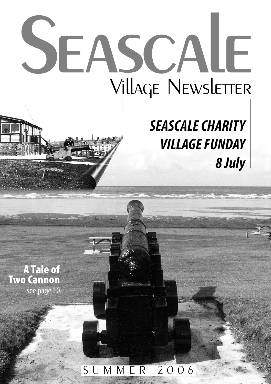# **Seascale** Village Newsletter

## *SEASCALECHARITY VILLAGE FUNDAY 8 July*

**A Tale of Two Cannon** see page 10

## S U M M E R 2 0 0 6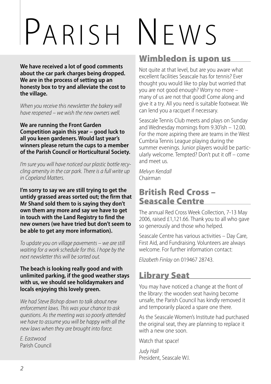# PARISH NEWS

**We have received a lot of good comments about the car park charges being dropped. We are in the process of setting up an honesty box to try and alleviate the cost to the village.**

*When* you receive this newsletter the bakery will *have reopened* – *we wish the new owners well.* 

#### **We are running the Front Garden Competition again this year – good luck to all you keen gardeners. Would last year's winners please return the cups to a member of the Parish Council or Horticultural Society.**

I'm sure you will have noticed our plastic bottle recy*cling amenityin thecar park. Thereis a full write up in Copeland Matters.*

**I'm sorry to say we are still trying to get the untidy grassed areas sorted out; the firm that Mr Shand sold them to is saying they don't own them any more and say we have to get in touch with the Land Registry to find the new owners (we have tried but don't seem to be able to get any more information).**

*To update* you on village pavements – we are still *waiting for a workschedulefor this. I hope bythe next newsletter this will besorted out.*

#### **The beach is looking really good and with unlimited parking, if the good weather stays with us, we should see holidaymakers and locals enjoying this lovely green.**

*We had Steve Bishop down to talk about new enforcement laws. This wasyour chanceto ask questions. As the meeting was so poorly attended we have to assume you will be happy with all the new laws when they are brought into force.*

*E. Eastwood* Parish Council

#### **Wimbledon is upon us**

Not quite at that level, but are you aware what excellent facilities Seascale has for tennis? Ever thought you would like to play but worried that you are not good enough? Worry no more – many of us are not that good! Come along and give it a try. All you need is suitable footwear. We can lend you a racquet if necessary.

Seascale Tennis Club meets and plays on Sunday and Wednesday mornings from 9.30'ish – 12.00. For the more aspiring there are teams in the West Cumbria Tennis League playing during the summer evenings. Junior players would be particularly welcome. Tempted? Don't put it off – come and meet us.

*Melvyn Kendall* Chairman

## **British Red Cross – Seascale Centre**

The annual Red Cross Week Collection, 7-13 May 2006, raised £1,121.66. Thank you to all who gave so generously and those who helped.

Seascale Centre has various activities – Day Care, First Aid, and Fundraising. Volunteers are always welcome. For further information contact:

*Elizabeth Finlay* on 019467 28743.

#### **Library Seat**

You may have noticed a change at the front of the library: the wooden seat having become unsafe, the Parish Council has kindly removed it and temporarily placed a spare one there.

As the Seascale Women's Institute had purchased the original seat, they are planning to replace it with a new one soon.

Watch that space!

*Judy Hall* President, Seascale W.I.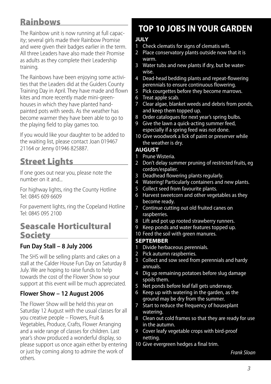#### **Rainbows**

The Rainbow unit is now running at full capacity; several girls made their Rainbow Promise and were given their badges earlier in the term. All three Leaders have also made their Promise as adults as they complete their Leadership training.

The Rainbows have been enjoying some activities that the Leaders did at the Guiders County Training Day in April. They have made and flown kites and more recently made mini-greenhouses in which they have planted handpainted pots with seeds. As the weather has become warmer they have been able to go to the playing field to play games too.

If you would like your daughter to be added to the waiting list, please contact Joan 019467 21164 or Jenny 01946 825887.

#### **Street Lights**

If one goes out near you, please note the number on it and...

For highway lights, ring the County Hotline Tel: 0845 609 6609

For pavement lights, ring the Copeland Hotline Tel: 0845 095 2100

#### **Seascale Horticultural Society**

#### **Fun Day Stall – 8 July 2006**

The SHS will be selling plants and cakes on a stall at the Calder House Fun Day on Saturday 8 July. We are hoping to raise funds to help towards the cost of the Flower Show so your support at this event will be much appreciated.

#### **Flower Show – 12 August 2006**

The Flower Show will be held this year on Saturday 12 August with the usual classes for all you creative people – Flowers, Fruit & Vegetables, Produce, Crafts, Flower Arranging and a wide range of classes for children. Last year's show produced a wonderful display, so please support us once again either by entering or just by coming along to admire the work of others.

## **TOP 10 JOBS IN YOUR GARDEN**

## **JULY**

- Check clematis for signs of clematis wilt.
- 2 Place conservatory plants outside now that it is warm.
- 3 Water tubs and new plants if dry, but be waterwise.
- 4 Dead-head bedding plants and repeat-flowering perennials to ensure continuous flowering.
- 5 Pick courgettes before they become marrows.
- 6 Treat apple scab.
- 7 Clear algae, blanket weeds and debris from ponds, and keep them topped up.
- 8 Order catalogues for next year's spring bulbs.
- Give the lawn a quick-acting summer feed, especially if a spring feed was not done.
- 10 Give woodwork a lick of paint or preserver while the weather is dry.

#### **AUGUST**

- 1 Prune Wisteria.
- 2 Don't delay summer pruning of restricted fruits, eg cordon/espalier.
- 3 Deadhead flowering plants regularly.
- 4 Watering! Particularly containers and new plants.
- 5 Collect seed from favourite plants.
- 6 Harvest sweetcorn and other vegetables as they become ready.
- 7 Continue cutting out old fruited canes on raspberries.
- 8 Lift and pot up rooted strawberry runners.
- 9 Keep ponds and water features topped up.
- 10 Feed the soil with green manures.

#### **SEPTEMBER**

- Divide herbaceous perennials.
- 2 Pick autumn raspberries.
- 3 Collect and sow seed from perennials and hardy annuals.
- 4 Dig up remaining potatoes before slug damage spoils them.
- 5 Net ponds before leaf fall gets underway.
- 6 Keep up with watering in the garden, as the ground may be dry from the summer.
- 7 Start to reduce the frequency of houseplant watering.
- 8 Clean out cold frames so that they are ready for use in the autumn.
- 9 Cover leafy vegetable crops with bird-proof netting.
- 10 Give evergreen hedges a final trim.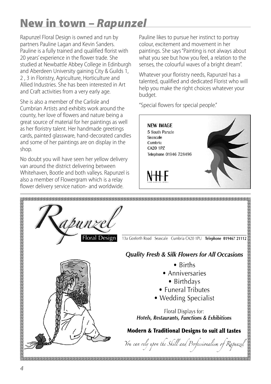## **New in town –** *Rapunzel*

Rapunzel Floral Design is owned and run by partners Pauline Lagan and Kevin Sanders. Pauline is a fully trained and qualified florist with 20 years' experience in the flower trade. She studied at Newbattle Abbey College in Edinburgh and Aberdeen University gaining City & Guilds 1, 2 , 3 in Floristry, Agriculture, Horticulture and Allied Industries. She has been interested in Art and Craft activities from a very early age.

She is also a member of the Carlisle and Cumbrian Artists and exhibits work around the county, her love of flowers and nature being a great source of material for her paintings as well as her floristry talent. Her handmade greetings cards, painted glassware, hand-decorated candles and some of her paintings are on display in the shop.

No doubt you will have seen her yellow delivery van around the district delivering between Whitehaven, Bootle and both valleys. Rapunzel is also a member of Flowergram which is a relay flower delivery service nation- and worldwide.

Pauline likes to pursue her instinct to portray colour, excitement and movement in her paintings. She says"Painting is not always about what you see but how you feel, a relation to the senses, the colourful waves of a bright dream".

Whatever your floristry needs, Rapunzel has a talented, qualified and dedicated Florist who will help you make the right choices whatever your budget.

"Special flowers for special people."

**NEW IMAGE** 5 South Parade Seascale Cumbria CA20 1P7 Telephone 01946 728496

N H H



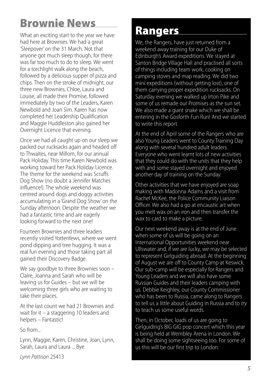## **Brownie News**

What an exciting start to the year we have had here at Brownies. We had a great 'Sleepover' on the 31 March. Not that anyone got much sleep though, for there was far too much to do to sleep. We went for a torchlight walk along the beach, followed by a delicious supper of pizza and chips. Then on the stroke of midnight, our three new Brownies, Chloe, Laura and Louise, all made their Promise, followed immediately by two of the Leaders, Karen Newbold and Joan Sim. Karen has now completed her Leadership Qualification and Maggie Huddleston also gained her Overnight Licence that evening.

Once we had all caught up on our sleep we packed our rucksacks again and headed off to Thwaites, near Millom, for our annual Pack Holiday. This time Karen Newbold was working toward her Pack Holiday Licence. The theme for the weekend was Scruffs Dog Show (no doubt a Jennifer Matches influence!). The whole weekend was centred around dogs and doggy activities accumulating in a 'Grand Dog Show' on the Sunday afternoon. Despite the weather we had a fantastic time and are eagerly looking forward to the next one!

Fourteen Brownies and three leaders recently visited Yottenfews, where we went pond dipping and tree hugging. It was a real fun evening and those taking part all gained their Discovery Badge.

We say goodbye to three Brownies soon – Claire, Joanna and Sarah who will be leaving us for Guides – but we will be welcoming three girls who are waiting to take their places.

At the last count we had 21 Brownies and wait for it – a staggering 10 leaders and helpers – Fantastic!

So from...

Lynn, Maggie, Karen, Christine, Joan, Lynn, Sarah, Laura and Laura ... Bye

*Lynn Pattison* 25413

## **Rangers**

We, the Rangers, have just returned from a weekend away training for our Duke of Edinburgh's Award expeditions. We stayed at Santon Bridge Village Hall and practised all sorts of things including team work, cooking on camping stoves and map reading. We did two mini expeditions (without getting lost), one of them carrying proper expedition rucksacks. On Saturday evening we walked up Irton Pike and some of us remade our Promises as the sun set. We also made a giant snake which we shall be entering in the Gosforth Fun Run! And we started to write this report.

At the end of April some of the Rangers who are also Young Leaders went to County Training Day along with several hundred adult leaders. Everyone who went learnt lots of new activities that they could do with the units that they help with and some stayed overnight and enjoyed another day of training on the Sunday.

Other activities that we have enjoyed are soap making with Madonna Adams and a visit from Rachel McKee, the Police Community Liaison Officer. We also had a go at encaustic art when you melt wax on an iron and then transfer the wax to card to make a picture.

Our next weekend away is at the end of June when some of us will be going on an International Opportunities weekend near Ullswater and, if we are lucky, we may be selected to represent Girlguiding abroad. At the beginning of August we are off to County Camp at Keswick. Our sub-camp will be especially for Rangers and Young Leaders and we will also have some Russian Guides and their leaders camping with us. Debbie Keighley, our County Commissioner who has been to Russia, came along to Rangers to tell us a little about Guiding in Russia and to *try* to teach us some useful words.

Then, in October, loads of us are going to Girlguiding's BIG GIG pop concert which this year is being held at Wembley Arena in London. We shall be doing some sightseeing too. For some of us this will be our first trip to London.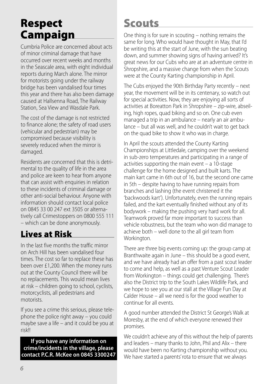## **Respect Campaign**

Cumbria Police are concerned about acts of minor criminal damage that have occurred over recent weeks and months in the Seascale area, with eight individual reports during March alone. The mirror for motorists going under the railway bridge has been vandalised four times this year and there has also been damage caused at Hallsenna Road, The Railway Station, Sea View and Wasdale Park.

The cost of the damage is not restricted to finance alone; the safety of road users (vehicular and pedestrian) may be compromised because visibility is severely reduced when the mirror is damaged.

Residents are concerned that this is detrimental to the quality of life in the area and police are keen to hear from anyone that can assist with enquiries in relation to these incidents of criminal damage or other anti-social behaviour. Anyone with information should contact local police on 0845 33 00 247 ext 3505 or alternatively call Crimestoppers on 0800 555 111 – which can be done anonymously.

### **Lives at Risk**

In the last five months the traffic mirror on Arch Hill has been vandalised four times. The cost so far to replace these has been over £1,200. When the money runs out at the County Council there will be no replacements. This would mean lives at risk – children going to school, cyclists, motorcyclists, all pedestrians and motorists.

If you see a crime this serious, please telephone the police right away – you could maybe save a life – and it could be you at risk!!

**If you have any information on crime/incidents in the village, please contact P.C.R. McKee on 0845 3300247**

## **Scouts**

One thing is for sure in scouting – nothing remains the same for long. Who would have thought in May, that I'd be writing this at the start of June, with the sun beating down, and summer showing signs of having arrived? It's great news for our Cubs who are at an adventure centre in Shropshire, and a massive change from when the Scouts were at the County Karting championship in April.

The Cubs enjoyed the 90th Birthday Party recently – next year, the movement will be in its centenary, so watch out for special activities. Now, they are enjoying all sorts of activities at Boreatton Park in Shropshire – zip-wire, abseiling, high ropes, quad biking and so on. One cub even managed a trip in an ambulance – nearly an air ambulance – but all was well, and he couldn't wait to get back on the quad bike to show it who was in charge.

In April the scouts attended the County Karting Championships at Littledale, camping over the weekend in sub-zero temperatures and participating in a range of activities supporting the main event – a 10-stage challenge for the home designed and built karts. The main kart came in 6th out of 16, but the second one came in 5th – despite having to have running repairs from branches and lashing (the event christened it the 'backwoods kart'). Unfortunately, even the running repairs failed, and the kart eventually finished without any of its bodywork – making the pushing very hard work for all. Teamwork proved far more important to success than vehicle robustness, but the team who won did manage to achieve both – well done to the all girl team from Workington.

There are three big events coming up: the group camp at Branthwaite again in June – this should be a good event, and we have already had an offer from a past scout leader to come and help, as well as a past Venture Scout Leader from Workington – things could get challenging. There's also the District trip to the South Lakes Wildlife Park, and we hope to see you at our stall at the Village Fun Day at Calder House – all we need is for the good weather to continue for all events.

A good number attended the District St George's Walk at Moresby, at the end of which everyone renewed their promises.

We couldn't achieve any of this without the help of parents and leaders – many thanks to John, Phil and Alix – there would have been no Karting championship without you. We have started a parents' rota to ensure that we always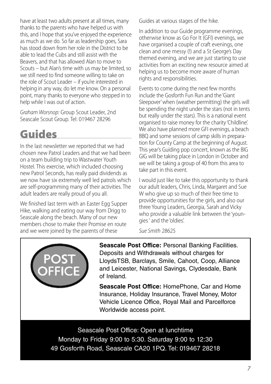have at least two adults present at all times, many thanks to the parents who have helped us with this, and I hope that you've enjoyed the experience as much as we do. So far as leadership goes, Sara has stood down from her role in the District to be able to lead the Cubs and still assist with the Beavers, and that has allowed Alan to move to Scouts – but Alan's time with us may be limited, so we still need to find someone willing to take on the role of Scout Leader – if you're interested in helping in any way, do let me know. On a personal point, many thanks to everyone who stepped in to help while I was out of action.

*Graham Worsnop:* Group Scout Leader, 2nd Seascale Scout Group. Tel: 019467 28296

## **Guides**

In the last newsletter we reported that we had chosen new Patrol Leaders and that we had been on a team building trip to Wastwater Youth Hostel. This exercise, which included choosing new Patrol Seconds, has really paid dividends as we now have six extremely well led patrols which are self-programming many of their activities. The adult leaders are really proud of you all.

We finished last term with an Easter Egg Supper Hike, walking and eating our way from Drigg to Seascale along the beach. Many of our new members chose to make their Promise en route and we were joined by the parents of these

Guides at various stages of the hike.

In addition to our Guide programme evenings, otherwise know as Go For It (GFI) evenings, we have organised a couple of craft evenings, one clean and one messy (!) and a St George's Day themed evening, and we are just starting to use activities from an exciting new resource aimed at helping us to become more aware of human rights and responsibilities.

Events to come during the next few months include the Gosforth Fun Run and the 'Giant Sleepover' when (weather permitting) the girls will be spending the night under the stars (not in tents but really under the stars). This is a national event organised to raise money for the charity 'Childline'. We also have planned more GFI evenings, a beach BBQ and some sessions of camp skills in preparation for County Camp at the beginning of August. This year's Guiding pop concert, known as the BIG GIG will be taking place in London in October and we will be taking a group of 40 from this area to take part in this event.

I would just like to take this opportunity to thank our adult leaders, Chris, Linda, Margaret and Sue W who give up so much of their free time to provide opportunities for the girls, and also our three Young Leaders, Georgia, Sarah and Vicky who provide a valuable link between the 'youngies' and the 'oldies'.

*Sue Smith* 28625



**Seascale Post Office:** Personal Banking Facilities. Deposits and Withdrawals without charges for LloydsTSB, Barclays, Smile, Cahoot, Coop, Alliance and Leicester, National Savings, Clydesdale, Bank of Ireland.

**Seascale Post Office:** HomePhone, Car and Home Insurance, Holiday Insurance, Travel Money, Motor Vehicle Licence Office, Royal Mail and Parcelforce Worldwide access point.

Seascale Post Office: Open at lunchtime Monday to Friday 9:00 to 5:30. Saturday 9:00 to 12:30 49 Gosforth Road, Seascale CA20 1PQ. Tel: 019467 28218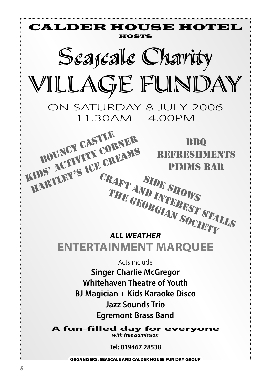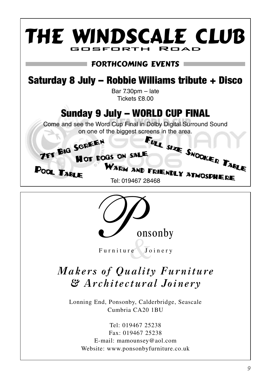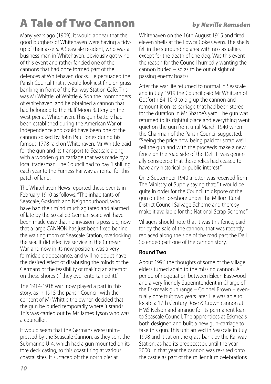## **A Tale of Two Cannon** *by Neville Ramsden*

Many years ago (1909), it would appear that the good burghers of Whitehaven were having a tidyup of their assets. A Seascale resident, who was a business man in Whitehaven, obviously got wind of this event and rather fancied one of the cannons that had once formed part of the defences at Whitehaven docks. He persuaded the Parish Council that it would look just fine on grass banking in front of the Railway Station Café. This was Mr Whittle, of Whittle & Son the Ironmongers of Whitehaven, and he obtained a cannon that had belonged to the Half Moon Battery on the west pier at Whitehaven. This gun battery had been established during the American War of Independence and could have been one of the cannon spiked by John Paul Jones during his famous 1778 raid on Whitehaven. Mr Whittle paid for the gun and its transport to Seascale along with a wooden gun carriage that was made by a local tradesman. The Council had to pay 1 shilling each year to the Furness Railway as rental for this patch of land.

The Whitehaven News reported these events in February 1910 as follows:"The inhabitants of Seascale, Gosforth and Neighbourhood, who have had their mind much agitated and alarmed of late by the so called German scare will have been made easy that no invasion is possible, now that a large CANNON has just been fixed behind the waiting room of Seascale Station, overlooking the sea. It did effective service in the Crimean War, and now in its new position, was a very formidable appearance, and will no doubt have the desired effect of disabusing the minds of the Germans of the feasibility of making an attempt on these shores (if they ever entertained it)."

The 1914-1918 war now played a part in this story, as in 1915 the parish Council, with the consent of Mr Whittle the owner, decided that the gun be buried temporarily where it stands. This was carried out by Mr James Tyson who was a councillor.

It would seem that the Germans were unimpressed by the Seascale Cannon, as they sent the Submarine U-4, which had a gun mounted on its fore deck casing, to this coast firing at various coastal sites. It surfaced off the north pier at

## Whitehaven on the 16th August 1915 and fired

eleven shells at the Lowca Coke Ovens. The shells fell in the surrounding area with no casualties except for the death of one dog. Was this event the reason for the Council hurriedly wanting the cannon buried – so as to be out of sight of passing enemy boats?

After the war life returned to normal in Seascale and in July 1919 the Council paid Mr Whittam of Gosforth £4-10-0 to dig up the cannon and remount it on its carriage that had been stored for the duration in Mr Sharpe's yard. The gun was returned to its rightful place and everything went quiet on the gun front until March 1940 when the Chairman of the Parish Council suggested: "Seeing the price now being paid for scrap we'll sell the gun and with the proceeds make a new fence on the road side of the Dell. It was generally considered that these relics had ceased to have any historical or public interest."

On 3 September 1940 a letter was received from The Ministry of Supply saying that:"it would be quite in order for the Council to dispose of the gun on the Foreshore under the Millom Rural District Council Salvage Scheme and thereby make it available for the National Scrap Scheme."

Villagers should note that it was this fence, paid for by the sale of the cannon, that was recently replaced along the side of the road past the Dell. So ended part one of the cannon story.

#### **Round Two**

About 1996 the thoughts of some of the village elders turned again to the missing cannon. A period of negotiation between Eileen Eastwood and a very friendly Superintendent in Charge of the Eskmeals gun range – Colonel Brown – eventually bore fruit two years later. He was able to locate a 17th Century Rose & Crown cannon at HMS Nelson and arrange for its permanent loan to Seascale Council. The apprentices at Eskmeals both designed and built a new gun-carriage to take this gun. This unit arrived in Seascale in July 1998 and it sat on the grass bank by the Railway Station, as had its predecessor, until the year 2000. In that year the cannon was re-sited onto the castle as part of the millennium celebrations.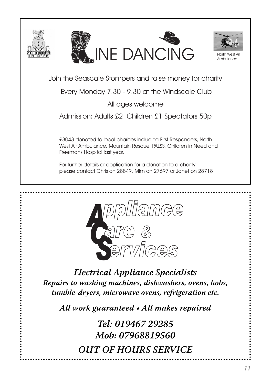



Join the Seascale Stompers and raise money for charity

Every Monday 7.30 - 9.30 at the Windscale Club

All ages welcome

Admission: Adults £2 Children £1 Spectators 50p

£3043 donated to local charities including First Responders, North West Air Ambulance, Mountain Rescue, PALSS, Children in Need and Freemans Hospital last year.

For further details or application for a donation to a charity please contact Chris on 28849, Mim on 27697 or Janet on 28718



*Electrical Appliance Specialists Repairs to washing machines, dishwashers, ovens, hobs, tumble-dryers, microwave ovens, refrigeration etc.*

*All work guaranteed • All makes repaired*

*Tel: 019467 29285 Mob: 07968819560 OUT OF HOURS SERVICE*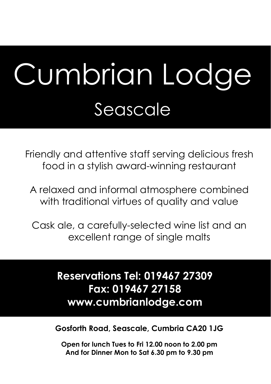## Cumbrian Lodge Seascale

Friendly and attentive staff serving delicious fresh food in a stylish award-winning restaurant

A relaxed and informal atmosphere combined with traditional virtues of quality and value

Cask ale, a carefully-selected wine list and an excellent range of single malts

> **Reservations Tel: 019467 27309 Fax: 019467 27158 www.cumbrianlodge.com**

**Gosforth Road, Seascale, Cumbria CA20 1JG** 

**Open for lunch Tues to Fri 12.00 noon to 2.00 pm And for Dinner Mon to Sat 6.30 pm to 9.30 pm**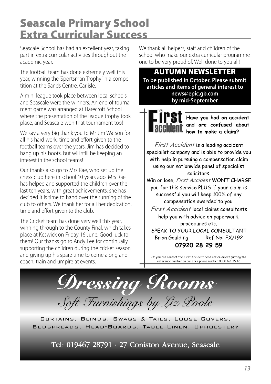## **Seascale Primary School Extra Curricular Success**

Seascale School has had an excellent year, taking part in extra curricular activities throughout the academic year.

The football team has done extremely well this year, winning the 'Sportsman Trophy' in a competition at the Sands Centre, Carlisle.

A mini league took place between local schools and Seascale were the winners. An end of tournament game was arranged at Harecroft School where the presentation of the league trophy took place, and Seascale won that tournament too!

We say a very big thank you to Mr Jim Watson for all his hard work, time and effort given to the football teams over the years. Jim has decided to hang up his boots, but will still be keeping an interest in the school teams!

Our thanks also go to Mrs Rae, who set up the chess club here in school 10 years ago. Mrs Rae has helped and supported the children over the last ten years, with great achievements; she has decided it is time to hand over the running of the club to others. We thank her for all her dedication, time and effort given to the club.

The Cricket team has done very well this year, winning through to the County Final, which takes place at Keswick on Friday 16 June, Good luck to them! Our thanks go to Andy Lee for continually supporting the children during the cricket season and giving up his spare time to come along and coach, train and umpire at events.

We thank all helpers, staff and children of the school who make our extra curricular programme one to be very proud of. Well done to you all!

**AUTUMN NEWSLETTER To be published in October. Please submit articles and items of general interest to news@epic.gb.com by mid-September**



**Have you had an accident and are confused about how to make a claim?** 

First Accident is a leading accident specialist company and is able to provide you with help in pursuing a compensation claim using our nationwide panel of specialist solicitors.

Win or lose, First Accident WON'T CHARGE you for this service PLUS if your claim is successful you will keep 100% of any compensation awarded to you.

First Accident local claims consultants help you with advice on paperwork, procedures etc.

SPEAK TO YOUR LOCAL CONSULTANT Brian Goulding Ref No: FX/192 **07920 28 29 59**

Or you can contact the First Accident head office direct quoting the reference number on our free phone number 0800 161 35 45

*Dressing Rooms Soft Furnishings by Liz Poole*

Curtains, Blinds, Swags & Tails, Loose Covers, Bedspreads, Head-Boards, Table Linen, Upholstery

Tel: 019467 28791 · 27 Coniston Avenue, Seascale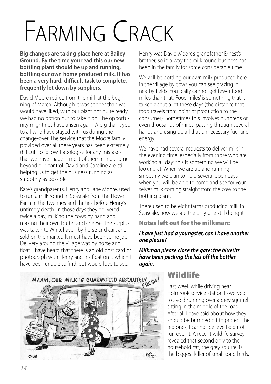## FARMING CRACK

**Big changes are taking place here at Bailey Ground. By the time you read this our new bottling plant should be up and running, bottling our own home produced milk. It has been a very hard, difficult task to complete, frequently let down by suppliers.**

David Moore retired from the milk at the beginning of March. Although it was sooner than we would have liked, with our plant not quite ready, we had no option but to take it on. The opportunity might not have arisen again. A big thank you to all who have stayed with us during the change-over. The service that the Moore family provided over all these years has been extremely difficult to follow. I apologise for any mistakes that we have made – most of them minor, some beyond our control. David and Caroline are still helping us to get the business running as smoothly as possible.

Kate's grandparents, Henry and Jane Moore, used to run a milk round in Seascale from the Howe Farm in the twenties and thirties before Henry's untimely death. In those days they delivered twice a day, milking the cows by hand and making their own butter and cheese. The surplus was taken to Whitehaven by horse and cart and sold on the market. It must have been some job. Delivery around the village was by horse and float. I have heard that there is an old post card or photograph with Henry and his float on it which I have been unable to find, but would love to see.

Henry was David Moore's grandfather Ernest's brother, so in a way the milk round business has been in the family for some considerable time.

We will be bottling our own milk produced here in the village by cows you can see grazing in nearby fields. You really cannot get fewer food miles than that. 'Food miles' is something that is talked about a lot these days (the distance that food travels from point of production to the consumer). Sometimes this involves hundreds or even thousands of miles, passing through several hands and using up all that unnecessary fuel and energy.

We have had several requests to deliver milk in the evening time, especially from those who are working all day: this is something we will be looking at. When we are up and running smoothly we plan to hold several open days when you will be able to come and see for yourselves milk coming straight from the cow to the bottling plant.

There used to be eight farms producing milk in Seascale, now we are the only one still doing it.

**Notes left out for the milkman:**

#### *I have just had a youngster,can I have another one please?*

*Milkman please close the gate: the bluetits have been pecking the lids off the bottles again.*



#### **Wildlife**

Last week while driving near Holmrook service station I swerved to avoid running over a grey squirrel sitting in the middle of the road. After all I have said about how they should be bumped off to protect the red ones, I cannot believe I did not run over it. A recent wildlife survey revealed that second only to the household cat, the grey squirrel is the biggest killer of small song birds.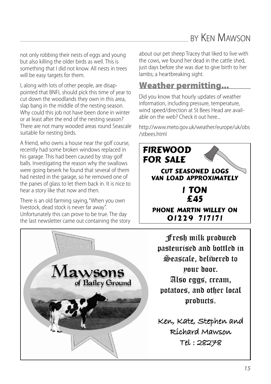## BY KEN MAWSON

not only robbing their nests of eggs and young but also killing the older birds as well. This is something that I did not know. All nests in trees will be easy targets for them.

I, along with lots of other people, are disappointed that BNFL should pick this time of year to cut down the woodlands they own in this area, slap bang in the middle of the nesting season. Why could this job not have been done in winter or at least after the end of the nesting season? There are not many wooded areas round Seascale suitable for nesting birds.

A friend, who owns a house near the golf course, recently had some broken windows replaced in his garage. This had been caused by stray golf balls. Investigating the reason why the swallows were going beserk he found that several of them had nested in the garage, so he removed one of the panes of glass to let them back in. It is nice to hear a story like that now and then.

There is an old farming saying,"When you own livestock, dead stock is never far away". Unfortunately this can prove to be true. The day the last newsletter came out containing the story



about our pet sheep Tracey that liked to live with the cows, we found her dead in the cattle shed, just days before she was due to give birth to her lambs; a heartbreaking sight.

#### **Weather permitting...**

Did you know that hourly updates of weather information, including pressure, temperature, wind speed/direction at St Bees Head are available on the web? Check it out here...

http://www.meto.gov.uk/weather/europe/uk/obs /stbees.html



Fresh milk produced pasteurised and bottled in Seascale, delibered to pour door. Also eggs, cream, potatoes, and other local products.

Ken, Kate, Stephen and Ríchard Mawson Tel: 28278